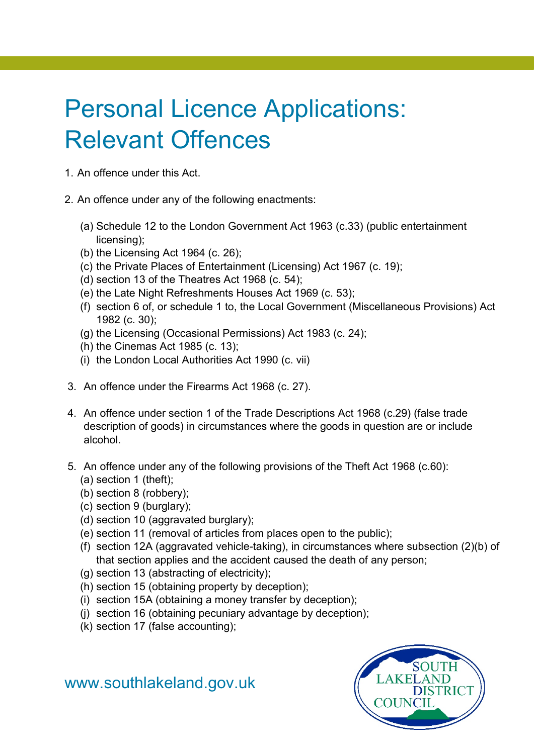## Personal Licence Applications: Relevant Offences

- 1. An offence under this Act.
- 2. An offence under any of the following enactments:
	- (a) Schedule 12 to the London Government Act 1963 (c.33) (public entertainment licensing);
	- (b) the Licensing Act 1964 (c. 26);
	- (c) the Private Places of Entertainment (Licensing) Act 1967 (c. 19);
	- (d) section 13 of the Theatres Act 1968 (c. 54);
	- (e) the Late Night Refreshments Houses Act 1969 (c. 53);
	- (f) section 6 of, or schedule 1 to, the Local Government (Miscellaneous Provisions) Act 1982 (c. 30);
	- (g) the Licensing (Occasional Permissions) Act 1983 (c. 24);
	- (h) the Cinemas Act 1985 (c. 13);
	- (i) the London Local Authorities Act 1990 (c. vii)
- 3. An offence under the Firearms Act 1968 (c. 27).
- 4. An offence under section 1 of the Trade Descriptions Act 1968 (c.29) (false trade description of goods) in circumstances where the goods in question are or include alcohol.
- 5. An offence under any of the following provisions of the Theft Act 1968 (c.60):
	- (a) section 1 (theft);
	- (b) section 8 (robbery);
	- (c) section 9 (burglary);
	- (d) section 10 (aggravated burglary);
	- (e) section 11 (removal of articles from places open to the public);
	- (f) section 12A (aggravated vehicle-taking), in circumstances where subsection (2)(b) of that section applies and the accident caused the death of any person;
	- (g) section 13 (abstracting of electricity);
	- (h) section 15 (obtaining property by deception);
	- (i) section 15A (obtaining a money transfer by deception);
	- (j) section 16 (obtaining pecuniary advantage by deception);
	- (k) section 17 (false accounting);



[www.southlakeland.gov.uk](http://www.southlakeland.gov.uk/)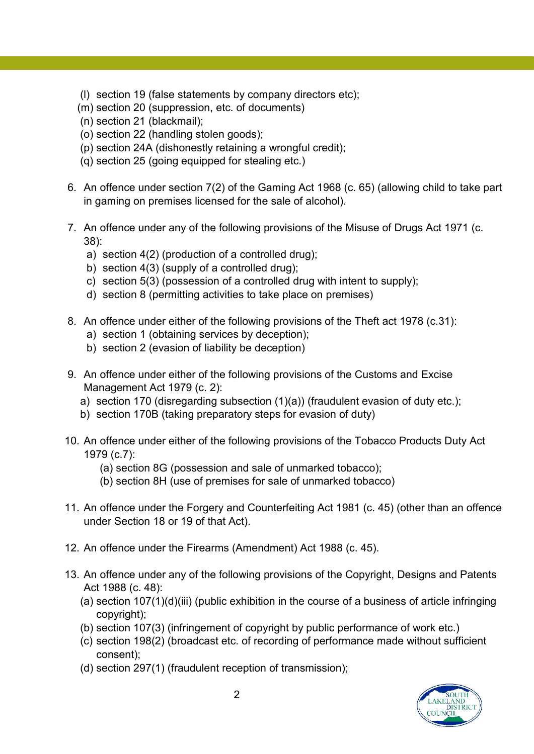- (l) section 19 (false statements by company directors etc);
- (m) section 20 (suppression, etc. of documents)
- (n) section 21 (blackmail);
- (o) section 22 (handling stolen goods);
- (p) section 24A (dishonestly retaining a wrongful credit);
- (q) section 25 (going equipped for stealing etc.)
- 6. An offence under section 7(2) of the Gaming Act 1968 (c. 65) (allowing child to take part in gaming on premises licensed for the sale of alcohol).
- 7. An offence under any of the following provisions of the Misuse of Drugs Act 1971 (c. 38):
	- a) section 4(2) (production of a controlled drug);
	- b) section 4(3) (supply of a controlled drug);
	- c) section 5(3) (possession of a controlled drug with intent to supply);
	- d) section 8 (permitting activities to take place on premises)
- 8. An offence under either of the following provisions of the Theft act 1978 (c.31):
	- a) section 1 (obtaining services by deception);
	- b) section 2 (evasion of liability be deception)
- 9. An offence under either of the following provisions of the Customs and Excise Management Act 1979 (c. 2):
	- a) section 170 (disregarding subsection (1)(a)) (fraudulent evasion of duty etc.);
	- b) section 170B (taking preparatory steps for evasion of duty)
- 10. An offence under either of the following provisions of the Tobacco Products Duty Act 1979 (c.7):
	- (a) section 8G (possession and sale of unmarked tobacco);
	- (b) section 8H (use of premises for sale of unmarked tobacco)
- 11. An offence under the Forgery and Counterfeiting Act 1981 (c. 45) (other than an offence under Section 18 or 19 of that Act).
- 12. An offence under the Firearms (Amendment) Act 1988 (c. 45).
- 13. An offence under any of the following provisions of the Copyright, Designs and Patents Act 1988 (c. 48):
	- (a) section 107(1)(d)(iii) (public exhibition in the course of a business of article infringing copyright);
	- (b) section 107(3) (infringement of copyright by public performance of work etc.)
	- (c) section 198(2) (broadcast etc. of recording of performance made without sufficient consent);
	- (d) section 297(1) (fraudulent reception of transmission);